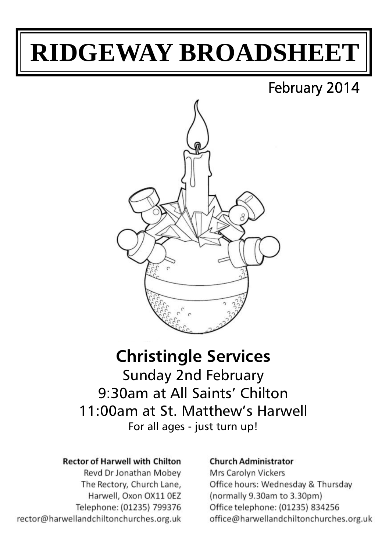# **RIDGEWAY BROADSHEET**

# February 2014



## **Christingle Services** Sunday 2nd February 9:30am at All Saints' Chilton 11:00am at St. Matthew's Harwell For all ages - just turn up!

#### **Rector of Harwell with Chilton**

Revd Dr Jonathan Mobev The Rectory, Church Lane, Harwell, Oxon OX11 OEZ Telephone: (01235) 799376 rector@harwellandchiltonchurches.org.uk

#### **Church Administrator**

**Mrs Carolyn Vickers** Office hours: Wednesday & Thursday (normally 9.30am to 3.30pm) Office telephone: (01235) 834256 office@harwellandchiltonchurches.org.uk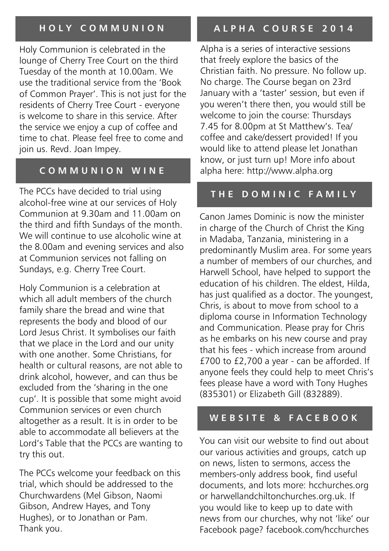## **H O L Y C O M M U N I O N**

Holy Communion is celebrated in the lounge of Cherry Tree Court on the third Tuesday of the month at 10.00am. We use the traditional service from the 'Book of Common Prayer'. This is not just for the residents of Cherry Tree Court - everyone is welcome to share in this service. After the service we enjoy a cup of coffee and time to chat. Please feel free to come and join us. Revd. Joan Impey.

#### **C O M M U N I O N W I N E**

The PCCs have decided to trial using alcohol-free wine at our services of Holy Communion at 9.30am and 11.00am on the third and fifth Sundays of the month. We will continue to use alcoholic wine at the 8.00am and evening services and also at Communion services not falling on Sundays, e.g. Cherry Tree Court.

Holy Communion is a celebration at which all adult members of the church family share the bread and wine that represents the body and blood of our Lord Jesus Christ. It symbolises our faith that we place in the Lord and our unity with one another. Some Christians, for health or cultural reasons, are not able to drink alcohol, however, and can thus be excluded from the 'sharing in the one cup'. It is possible that some might avoid Communion services or even church altogether as a result. It is in order to be able to accommodate all believers at the Lord's Table that the PCCs are wanting to try this out.

The PCCs welcome your feedback on this trial, which should be addressed to the Churchwardens (Mel Gibson, Naomi Gibson, Andrew Hayes, and Tony Hughes), or to Jonathan or Pam. Thank you.

## **A L P H A C O U R S E 2 0 1 4**

Alpha is a series of interactive sessions that freely explore the basics of the Christian faith. No pressure. No follow up. No charge. The Course began on 23rd January with a 'taster' session, but even if you weren't there then, you would still be welcome to join the course: Thursdays 7.45 for 8.00pm at St Matthew's. Tea/ coffee and cake/dessert provided! If you would like to attend please let Jonathan know, or just turn up! More info about alpha here: http://www.alpha.org

#### **T H E D O M I N I C F A M I L Y**

Canon James Dominic is now the minister in charge of the Church of Christ the King in Madaba, Tanzania, ministering in a predominantly Muslim area. For some years a number of members of our churches, and Harwell School, have helped to support the education of his children. The eldest, Hilda, has just qualified as a doctor. The youngest, Chris, is about to move from school to a diploma course in Information Technology and Communication. Please pray for Chris as he embarks on his new course and pray that his fees - which increase from around £700 to £2,700 a year - can be afforded. If anyone feels they could help to meet Chris's fees please have a word with Tony Hughes (835301) or Elizabeth Gill (832889).

#### **W E B S I T E & F A C E B O O K**

You can visit our website to find out about our various activities and groups, catch up on news, listen to sermons, access the members-only address book, find useful documents, and lots more: hcchurches.org or harwellandchiltonchurches.org.uk. If you would like to keep up to date with news from our churches, why not 'like' our Facebook page? facebook.com/hcchurches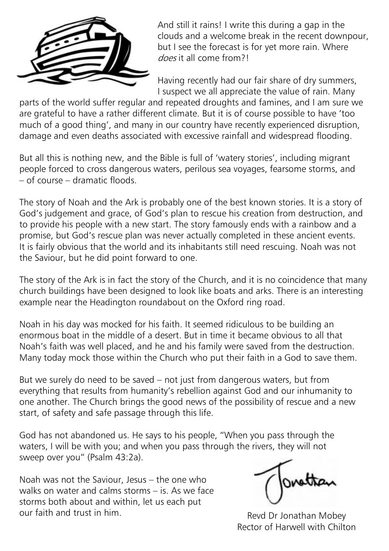

And still it rains! I write this during a gap in the clouds and a welcome break in the recent downpour, but I see the forecast is for yet more rain. Where does it all come from?!

Having recently had our fair share of dry summers, I suspect we all appreciate the value of rain. Many

parts of the world suffer regular and repeated droughts and famines, and I am sure we are grateful to have a rather different climate. But it is of course possible to have 'too much of a good thing', and many in our country have recently experienced disruption, damage and even deaths associated with excessive rainfall and widespread flooding.

But all this is nothing new, and the Bible is full of 'watery stories', including migrant people forced to cross dangerous waters, perilous sea voyages, fearsome storms, and – of course – dramatic floods.

The story of Noah and the Ark is probably one of the best known stories. It is a story of God's judgement and grace, of God's plan to rescue his creation from destruction, and to provide his people with a new start. The story famously ends with a rainbow and a promise, but God's rescue plan was never actually completed in these ancient events. It is fairly obvious that the world and its inhabitants still need rescuing. Noah was not the Saviour, but he did point forward to one.

The story of the Ark is in fact the story of the Church, and it is no coincidence that many church buildings have been designed to look like boats and arks. There is an interesting example near the Headington roundabout on the Oxford ring road.

Noah in his day was mocked for his faith. It seemed ridiculous to be building an enormous boat in the middle of a desert. But in time it became obvious to all that Noah's faith was well placed, and he and his family were saved from the destruction. Many today mock those within the Church who put their faith in a God to save them.

But we surely do need to be saved – not just from dangerous waters, but from everything that results from humanity's rebellion against God and our inhumanity to one another. The Church brings the good news of the possibility of rescue and a new start, of safety and safe passage through this life.

God has not abandoned us. He says to his people, "When you pass through the waters, I will be with you; and when you pass through the rivers, they will not sweep over you" (Psalm 43:2a).

Noah was not the Saviour, Jesus – the one who walks on water and calms storms – is. As we face storms both about and within, let us each put our faith and trust in him.

Revd Dr Jonathan Mobey Rector of Harwell with Chilton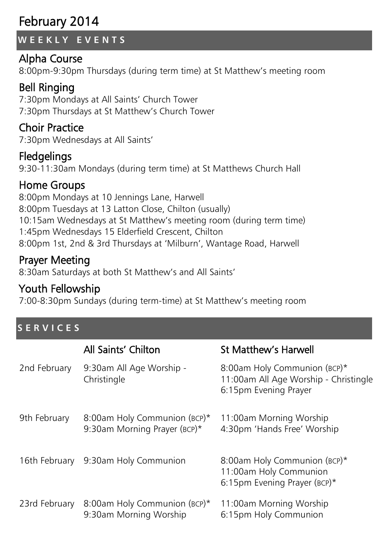# February 2014

## **W E E K L Y E V E N T S**

## Alpha Course

8:00pm-9:30pm Thursdays (during term time) at St Matthew's meeting room

## Bell Ringing

7:30pm Mondays at All Saints' Church Tower 7:30pm Thursdays at St Matthew's Church Tower

## Choir Practice

7:30pm Wednesdays at All Saints'

## **Fledgelings**

9:30-11:30am Mondays (during term time) at St Matthews Church Hall

## Home Groups

8:00pm Mondays at 10 Jennings Lane, Harwell 8:00pm Tuesdays at 13 Latton Close, Chilton (usually) 10:15am Wednesdays at St Matthew's meeting room (during term time) 1:45pm Wednesdays 15 Elderfield Crescent, Chilton 8:00pm 1st, 2nd & 3rd Thursdays at 'Milburn', Wantage Road, Harwell

## Prayer Meeting

8:30am Saturdays at both St Matthew's and All Saints'

## Youth Fellowship

7:00-8:30pm Sundays (during term-time) at St Matthew's meeting room

## **S E R V I C E S**

|               | All Saints' Chilton                                          | <b>St Matthew's Harwell</b>                                                                    |
|---------------|--------------------------------------------------------------|------------------------------------------------------------------------------------------------|
| 2nd February  | 9:30am All Age Worship -<br>Christingle                      | 8:00am Holy Communion (BCP)*<br>11:00am All Age Worship - Christingle<br>6:15pm Evening Prayer |
| 9th February  | 8:00am Holy Communion (BCP)*<br>9:30am Morning Prayer (BCP)* | 11:00am Morning Worship<br>4:30pm 'Hands Free' Worship                                         |
| 16th February | 9:30am Holy Communion                                        | 8:00am Holy Communion (BCP)*<br>11:00am Holy Communion<br>6:15pm Evening Prayer (BCP)*         |
| 23rd February | 8:00am Holy Communion (BCP)*<br>9:30am Morning Worship       | 11:00am Morning Worship<br>6:15pm Holy Communion                                               |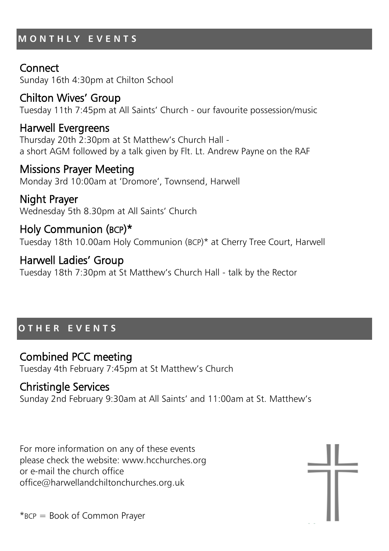## **M O N T H L Y E V E N T S**

## **Connect**

Sunday 16th 4:30pm at Chilton School

## Chilton Wives' Group

Tuesday 11th 7:45pm at All Saints' Church - our favourite possession/music

## Harwell Evergreens

Thursday 20th 2:30pm at St Matthew's Church Hall a short AGM followed by a talk given by Flt. Lt. Andrew Payne on the RAF

## Missions Prayer Meeting

Monday 3rd 10:00am at 'Dromore', Townsend, Harwell

Night Prayer Wednesday 5th 8.30pm at All Saints' Church

## Holy Communion (BCP)\* Tuesday 18th 10.00am Holy Communion (BCP)\* at Cherry Tree Court, Harwell

Harwell Ladies' Group Tuesday 18th 7:30pm at St Matthew's Church Hall - talk by the Rector

## **O T H E R E V E N T S**

### Combined PCC meeting

Tuesday 4th February 7:45pm at St Matthew's Church

## Christingle Services

Sunday 2nd February 9:30am at All Saints' and 11:00am at St. Matthew's

For more information on any of these events please check the website: www.hcchurches.org or e-mail the church office office@harwellandchiltonchurches.org.uk

\*BCP = Book of Common Prayer

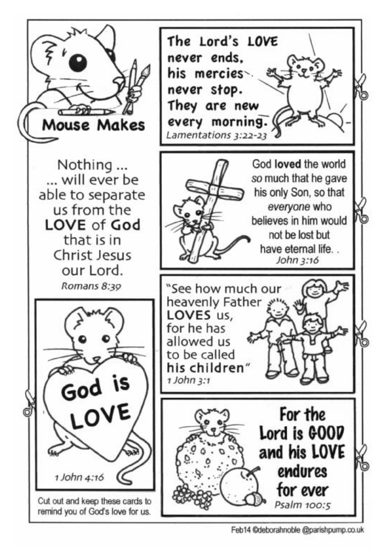

Feb14 ©deborahnoble @parishpump.co.uk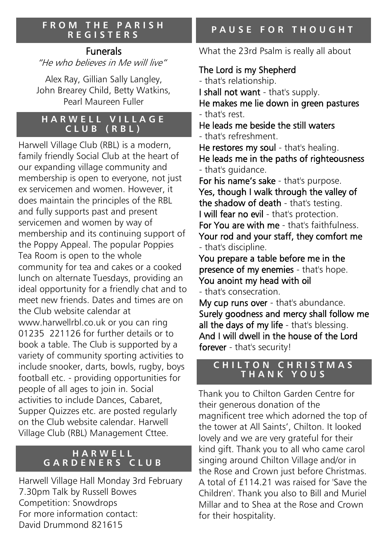#### **F R O M T H E P A R I S H R E G I S T E R S**

## Funerals

"He who believes in Me will live"

Alex Ray, Gillian Sally Langley, John Brearey Child, Betty Watkins, Pearl Maureen Fuller

#### **HARWELL VILLAGE C L U B ( R B L )**

Harwell Village Club (RBL) is a modern, family friendly Social Club at the heart of our expanding village community and membership is open to everyone, not just ex servicemen and women. However, it does maintain the principles of the RBL and fully supports past and present servicemen and women by way of membership and its continuing support of the Poppy Appeal. The popular Poppies Tea Room is open to the whole community for tea and cakes or a cooked lunch on alternate Tuesdays, providing an ideal opportunity for a friendly chat and to meet new friends. Dates and times are on the Club website calendar at www.harwellrbl.co.uk or you can ring 01235 221126 for further details or to book a table. The Club is supported by a variety of community sporting activities to include snooker, darts, bowls, rugby, boys football etc. - providing opportunities for people of all ages to join in. Social activities to include Dances, Cabaret, Supper Quizzes etc. are posted regularly on the Club website calendar. Harwell Village Club (RBL) Management Cttee.

#### **H A R W E L L G A R D E N E R S C L U B**

Harwell Village Hall Monday 3rd February 7.30pm Talk by Russell Bowes Competition: Snowdrops For more information contact: David Drummond 821615

What the 23rd Psalm is really all about

## The Lord is my Shepherd

- that's relationship.

I shall not want - that's supply. He makes me lie down in green pastures - that's rest.

He leads me beside the still waters - that's refreshment.

He restores my soul - that's healing. He leads me in the paths of righteousness - that's guidance.

For his name's sake - that's purpose. Yes, though I walk through the valley of the shadow of death - that's testing. I will fear no evil - that's protection. For You are with me - that's faithfulness. Your rod and your staff, they comfort me - that's discipline.

You prepare a table before me in the presence of my enemies - that's hope. You anoint my head with oil

- that's consecration.

My cup runs over - that's abundance. Surely goodness and mercy shall follow me all the days of my life - that's blessing. And I will dwell in the house of the Lord forever - that's security!

#### **C H I L T O N C H R I S T M A S T H A N K Y O U S**

Thank you to Chilton Garden Centre for their generous donation of the magnificent tree which adorned the top of the tower at All Saints', Chilton. It looked lovely and we are very grateful for their kind gift. Thank you to all who came carol singing around Chilton Village and/or in the Rose and Crown just before Christmas. A total of £114.21 was raised for 'Save the Children'. Thank you also to Bill and Muriel Millar and to Shea at the Rose and Crown for their hospitality.